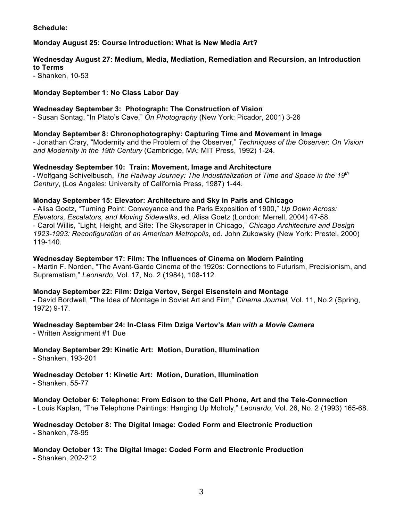### **Schedule:**

### **Monday August 25: Course Introduction: What is New Media Art?**

### **Wednesday August 27: Medium, Media, Mediation, Remediation and Recursion, an Introduction to Terms**

- Shanken, 10-53

### **Monday September 1: No Class Labor Day**

#### **Wednesday September 3: Photograph: The Construction of Vision**

- Susan Sontag, "In Plato's Cave," *On Photography* (New York: Picador, 2001) 3-26

### **Monday September 8: Chronophotography: Capturing Time and Movement in Image**

- Jonathan Crary, "Modernity and the Problem of the Observer," *Techniques of the Observer*: *On Vision and Modernity in the 19th Century* (Cambridge, MA: MIT Press, 1992) 1-24.

### **Wednesday September 10: Train: Movement, Image and Architecture**

- Wolfgang Schivelbusch, *The Railway Journey: The Industrialization of Time and Space in the 19th Century*, (Los Angeles: University of California Press, 1987) 1-44.

### **Monday September 15: Elevator: Architecture and Sky in Paris and Chicago**

- Alisa Goetz, "Turning Point: Conveyance and the Paris Exposition of 1900," *Up Down Across: Elevators, Escalators, and Moving Sidewalks*, ed. Alisa Goetz (London: Merrell, 2004) 47-58. - Carol Willis, "Light, Height, and Site: The Skyscraper in Chicago," *Chicago Architecture and Design 1923-1993: Reconfiguration of an American Metropolis*, ed. John Zukowsky (New York: Prestel, 2000) 119-140.

#### **Wednesday September 17: Film: The Influences of Cinema on Modern Painting**

- Martin F. Norden, "The Avant-Garde Cinema of the 1920s: Connections to Futurism, Precisionism, and Suprematism," *Leonardo*, Vol. 17, No. 2 (1984), 108-112.

#### **Monday September 22: Film: Dziga Vertov, Sergei Eisenstein and Montage**

- David Bordwell, "The Idea of Montage in Soviet Art and Film," *Cinema Journal,* Vol. 11, No.2 (Spring, 1972) 9-17.

# **Wednesday September 24: In-Class Film Dziga Vertov's** *Man with a Movie Camera*

- Written Assignment #1 Due

# **Monday September 29: Kinetic Art: Motion, Duration, Illumination**

- Shanken, 193-201

# **Wednesday October 1: Kinetic Art: Motion, Duration, Illumination**

- Shanken, 55-77

# **Monday October 6: Telephone: From Edison to the Cell Phone, Art and the Tele-Connection**

- Louis Kaplan, "The Telephone Paintings: Hanging Up Moholy," *Leonardo*, Vol. 26, No. 2 (1993) 165-68.

### **Wednesday October 8: The Digital Image: Coded Form and Electronic Production** - Shanken, 78-95

# **Monday October 13: The Digital Image: Coded Form and Electronic Production**

- Shanken, 202-212